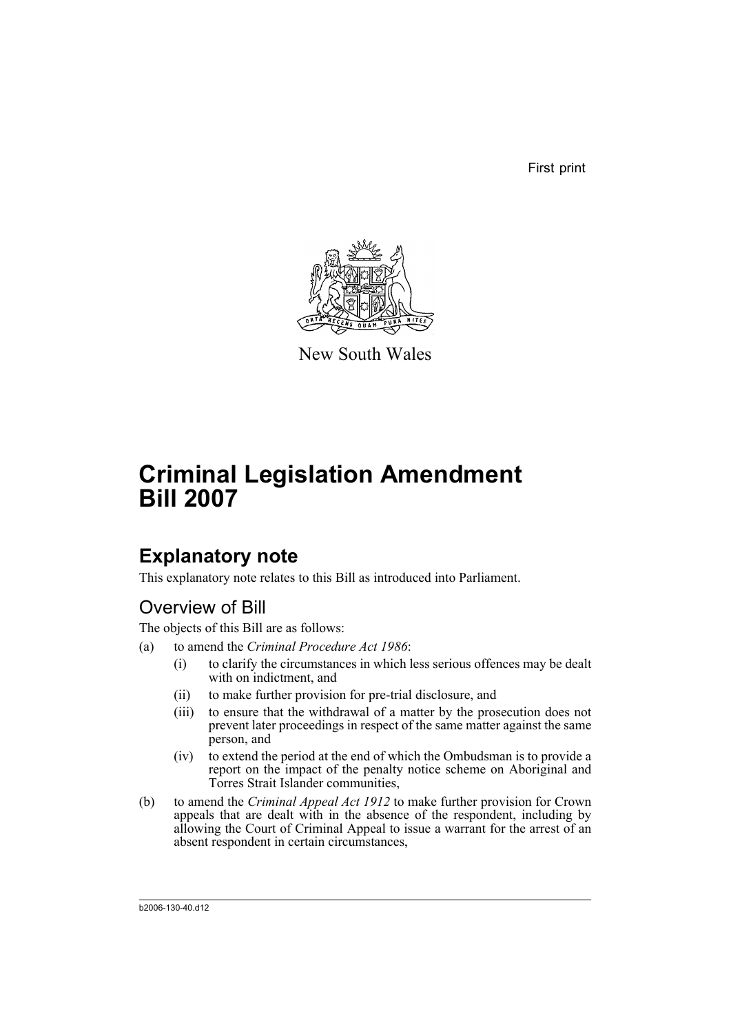First print



New South Wales

# **Criminal Legislation Amendment Bill 2007**

## **Explanatory note**

This explanatory note relates to this Bill as introduced into Parliament.

## Overview of Bill

The objects of this Bill are as follows:

- (a) to amend the *Criminal Procedure Act 1986*:
	- (i) to clarify the circumstances in which less serious offences may be dealt with on indictment, and
	- (ii) to make further provision for pre-trial disclosure, and
	- (iii) to ensure that the withdrawal of a matter by the prosecution does not prevent later proceedings in respect of the same matter against the same person, and
	- (iv) to extend the period at the end of which the Ombudsman is to provide a report on the impact of the penalty notice scheme on Aboriginal and Torres Strait Islander communities,
- (b) to amend the *Criminal Appeal Act 1912* to make further provision for Crown appeals that are dealt with in the absence of the respondent, including by allowing the Court of Criminal Appeal to issue a warrant for the arrest of an absent respondent in certain circumstances,

b2006-130-40.d12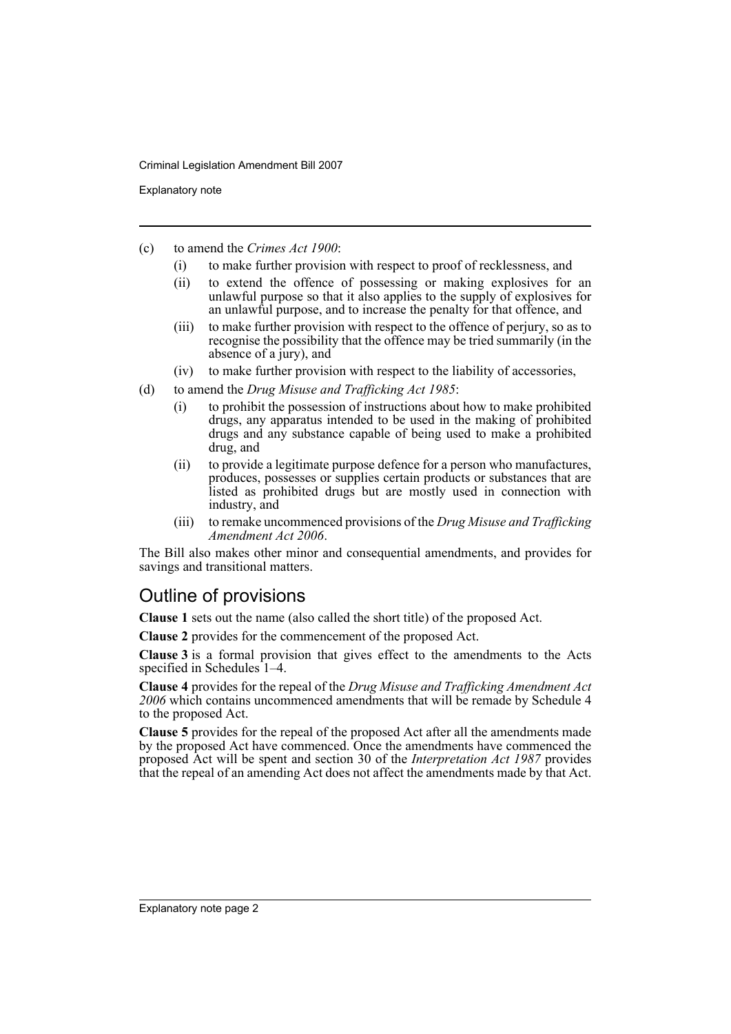Explanatory note

- (c) to amend the *Crimes Act 1900*:
	- (i) to make further provision with respect to proof of recklessness, and
	- (ii) to extend the offence of possessing or making explosives for an unlawful purpose so that it also applies to the supply of explosives for an unlawful purpose, and to increase the penalty for that offence, and
	- (iii) to make further provision with respect to the offence of perjury, so as to recognise the possibility that the offence may be tried summarily (in the absence of a jury), and
	- (iv) to make further provision with respect to the liability of accessories,
- (d) to amend the *Drug Misuse and Trafficking Act 1985*:
	- (i) to prohibit the possession of instructions about how to make prohibited drugs, any apparatus intended to be used in the making of prohibited drugs and any substance capable of being used to make a prohibited drug, and
	- (ii) to provide a legitimate purpose defence for a person who manufactures, produces, possesses or supplies certain products or substances that are listed as prohibited drugs but are mostly used in connection with industry, and
	- (iii) to remake uncommenced provisions of the *Drug Misuse and Trafficking Amendment Act 2006*.

The Bill also makes other minor and consequential amendments, and provides for savings and transitional matters.

## Outline of provisions

**Clause 1** sets out the name (also called the short title) of the proposed Act.

**Clause 2** provides for the commencement of the proposed Act.

**Clause 3** is a formal provision that gives effect to the amendments to the Acts specified in Schedules 1–4.

**Clause 4** provides for the repeal of the *Drug Misuse and Trafficking Amendment Act 2006* which contains uncommenced amendments that will be remade by Schedule 4 to the proposed Act.

**Clause 5** provides for the repeal of the proposed Act after all the amendments made by the proposed Act have commenced. Once the amendments have commenced the proposed Act will be spent and section 30 of the *Interpretation Act 1987* provides that the repeal of an amending Act does not affect the amendments made by that Act.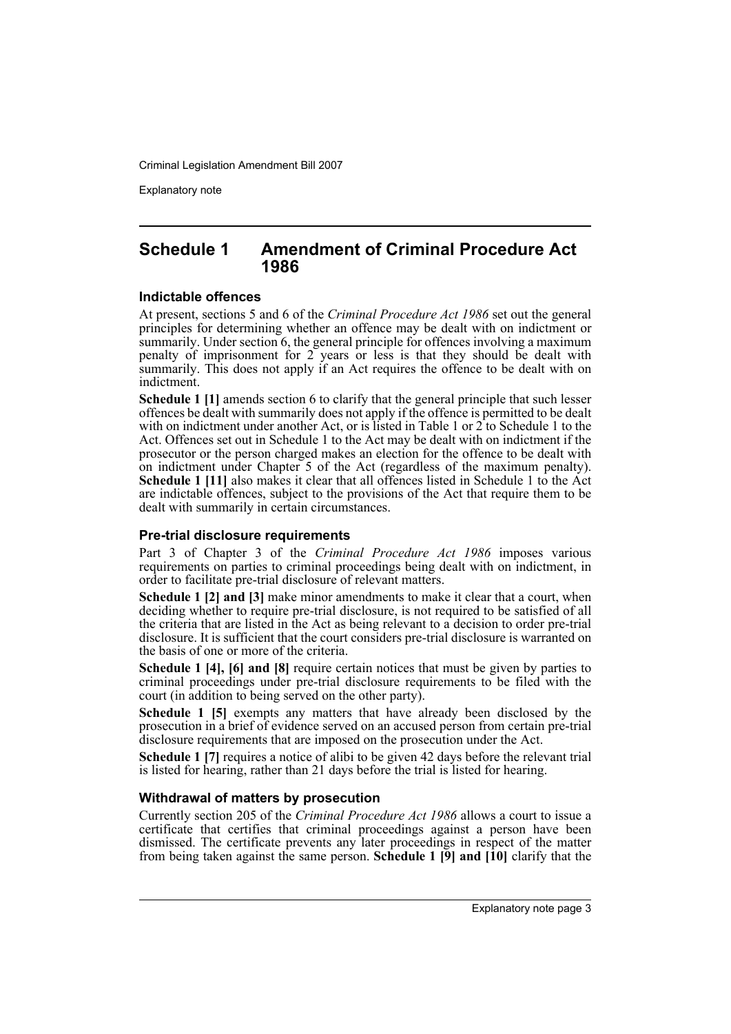Explanatory note

### **Schedule 1 Amendment of Criminal Procedure Act 1986**

#### **Indictable offences**

At present, sections 5 and 6 of the *Criminal Procedure Act 1986* set out the general principles for determining whether an offence may be dealt with on indictment or summarily. Under section 6, the general principle for offences involving a maximum penalty of imprisonment for  $2$  years or less is that they should be dealt with summarily. This does not apply if an Act requires the offence to be dealt with on indictment.

**Schedule 1 [1]** amends section 6 to clarify that the general principle that such lesser offences be dealt with summarily does not apply if the offence is permitted to be dealt with on indictment under another Act, or is listed in Table 1 or 2 to Schedule 1 to the Act. Offences set out in Schedule 1 to the Act may be dealt with on indictment if the prosecutor or the person charged makes an election for the offence to be dealt with on indictment under Chapter 5 of the Act (regardless of the maximum penalty). **Schedule 1 [11]** also makes it clear that all offences listed in Schedule 1 to the Act are indictable offences, subject to the provisions of the Act that require them to be dealt with summarily in certain circumstances.

### **Pre-trial disclosure requirements**

Part 3 of Chapter 3 of the *Criminal Procedure Act 1986* imposes various requirements on parties to criminal proceedings being dealt with on indictment, in order to facilitate pre-trial disclosure of relevant matters.

**Schedule 1 [2] and [3]** make minor amendments to make it clear that a court, when deciding whether to require pre-trial disclosure, is not required to be satisfied of all the criteria that are listed in the Act as being relevant to a decision to order pre-trial disclosure. It is sufficient that the court considers pre-trial disclosure is warranted on the basis of one or more of the criteria.

**Schedule 1 [4], [6] and [8]** require certain notices that must be given by parties to criminal proceedings under pre-trial disclosure requirements to be filed with the court (in addition to being served on the other party).

**Schedule 1 [5]** exempts any matters that have already been disclosed by the prosecution in a brief of evidence served on an accused person from certain pre-trial disclosure requirements that are imposed on the prosecution under the Act.

**Schedule 1 [7]** requires a notice of alibi to be given 42 days before the relevant trial is listed for hearing, rather than 21 days before the trial is listed for hearing.

### **Withdrawal of matters by prosecution**

Currently section 205 of the *Criminal Procedure Act 1986* allows a court to issue a certificate that certifies that criminal proceedings against a person have been dismissed. The certificate prevents any later proceedings in respect of the matter from being taken against the same person. **Schedule 1 [9] and [10]** clarify that the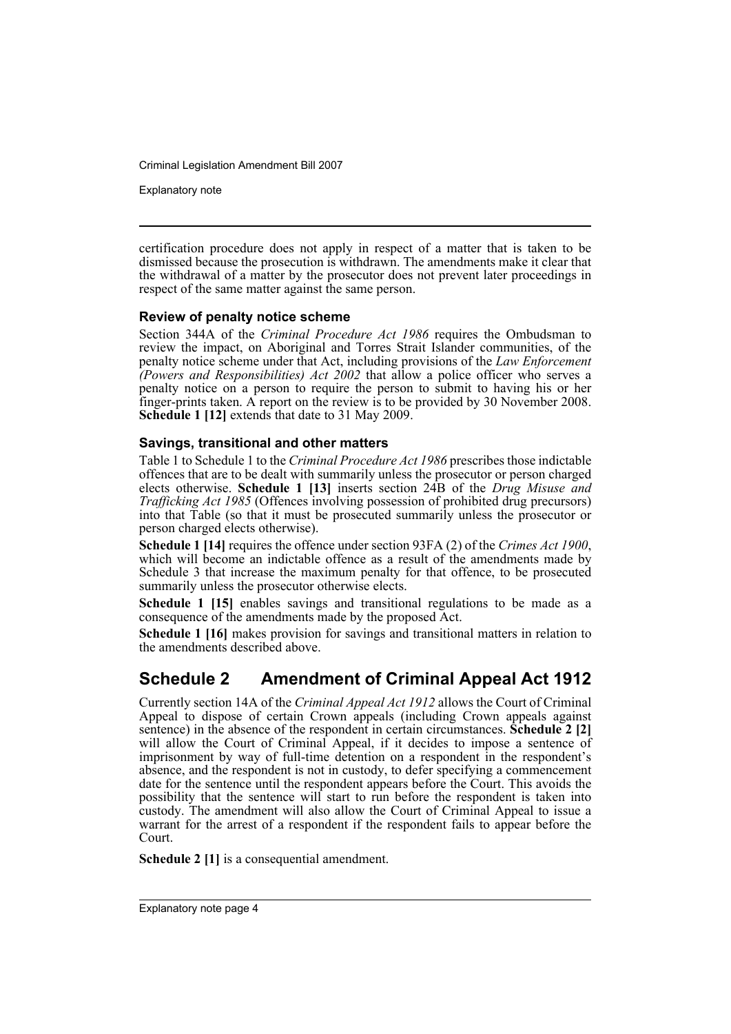Explanatory note

certification procedure does not apply in respect of a matter that is taken to be dismissed because the prosecution is withdrawn. The amendments make it clear that the withdrawal of a matter by the prosecutor does not prevent later proceedings in respect of the same matter against the same person.

### **Review of penalty notice scheme**

Section 344A of the *Criminal Procedure Act 1986* requires the Ombudsman to review the impact, on Aboriginal and Torres Strait Islander communities, of the penalty notice scheme under that Act, including provisions of the *Law Enforcement (Powers and Responsibilities) Act 2002* that allow a police officer who serves a penalty notice on a person to require the person to submit to having his or her finger-prints taken. A report on the review is to be provided by 30 November 2008. **Schedule 1 [12]** extends that date to 31 May 2009.

### **Savings, transitional and other matters**

Table 1 to Schedule 1 to the *Criminal Procedure Act 1986* prescribes those indictable offences that are to be dealt with summarily unless the prosecutor or person charged elects otherwise. **Schedule 1 [13]** inserts section 24B of the *Drug Misuse and Trafficking Act 1985* (Offences involving possession of prohibited drug precursors) into that Table (so that it must be prosecuted summarily unless the prosecutor or person charged elects otherwise).

**Schedule 1 [14]** requires the offence under section 93FA (2) of the *Crimes Act 1900*, which will become an indictable offence as a result of the amendments made by Schedule 3 that increase the maximum penalty for that offence, to be prosecuted summarily unless the prosecutor otherwise elects.

**Schedule 1 [15]** enables savings and transitional regulations to be made as a consequence of the amendments made by the proposed Act.

**Schedule 1 [16]** makes provision for savings and transitional matters in relation to the amendments described above.

## **Schedule 2 Amendment of Criminal Appeal Act 1912**

Currently section 14A of the *Criminal Appeal Act 1912* allows the Court of Criminal Appeal to dispose of certain Crown appeals (including Crown appeals against sentence) in the absence of the respondent in certain circumstances. **Schedule 2 [2]** will allow the Court of Criminal Appeal, if it decides to impose a sentence of imprisonment by way of full-time detention on a respondent in the respondent's absence, and the respondent is not in custody, to defer specifying a commencement date for the sentence until the respondent appears before the Court. This avoids the possibility that the sentence will start to run before the respondent is taken into custody. The amendment will also allow the Court of Criminal Appeal to issue a warrant for the arrest of a respondent if the respondent fails to appear before the Court.

**Schedule 2 [1]** is a consequential amendment.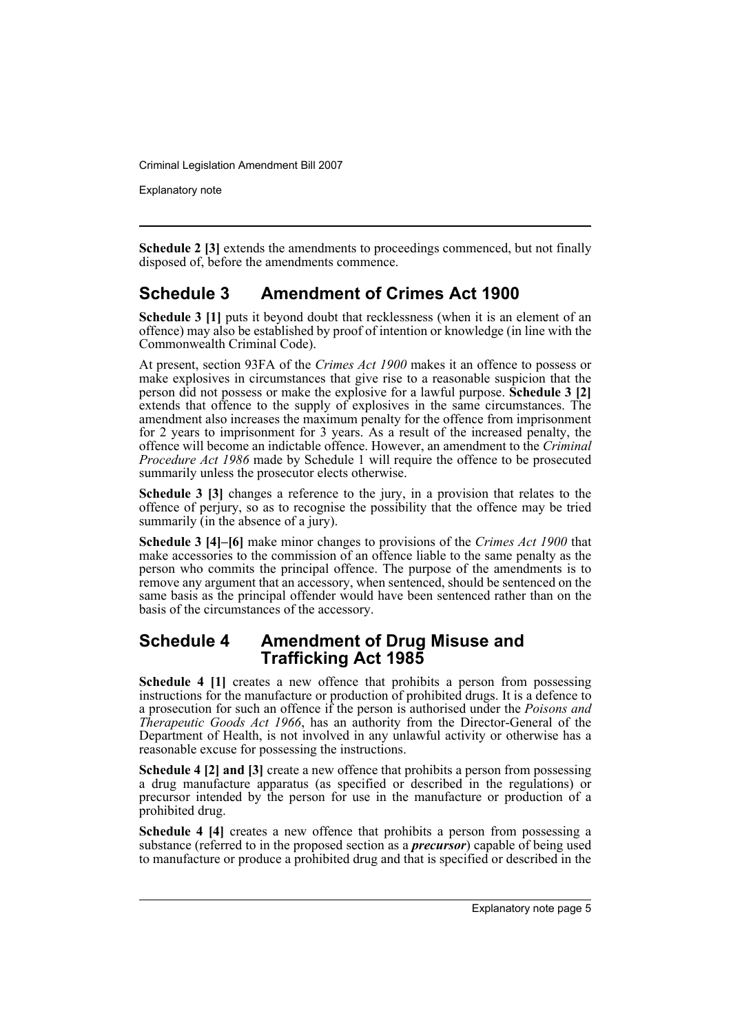Explanatory note

**Schedule 2 [3]** extends the amendments to proceedings commenced, but not finally disposed of, before the amendments commence.

## **Schedule 3 Amendment of Crimes Act 1900**

**Schedule 3 [1]** puts it beyond doubt that recklessness (when it is an element of an offence) may also be established by proof of intention or knowledge (in line with the Commonwealth Criminal Code).

At present, section 93FA of the *Crimes Act 1900* makes it an offence to possess or make explosives in circumstances that give rise to a reasonable suspicion that the person did not possess or make the explosive for a lawful purpose. **Schedule 3 [2]** extends that offence to the supply of explosives in the same circumstances. The amendment also increases the maximum penalty for the offence from imprisonment for 2 years to imprisonment for 3 years. As a result of the increased penalty, the offence will become an indictable offence. However, an amendment to the *Criminal Procedure Act 1986* made by Schedule 1 will require the offence to be prosecuted summarily unless the prosecutor elects otherwise.

**Schedule 3 [3]** changes a reference to the jury, in a provision that relates to the offence of perjury, so as to recognise the possibility that the offence may be tried summarily (in the absence of a jury).

**Schedule 3 [4]–[6]** make minor changes to provisions of the *Crimes Act 1900* that make accessories to the commission of an offence liable to the same penalty as the person who commits the principal offence. The purpose of the amendments is to remove any argument that an accessory, when sentenced, should be sentenced on the same basis as the principal offender would have been sentenced rather than on the basis of the circumstances of the accessory.

### **Schedule 4 Amendment of Drug Misuse and Trafficking Act 1985**

**Schedule 4 [1]** creates a new offence that prohibits a person from possessing instructions for the manufacture or production of prohibited drugs. It is a defence to a prosecution for such an offence if the person is authorised under the *Poisons and Therapeutic Goods Act 1966*, has an authority from the Director-General of the Department of Health, is not involved in any unlawful activity or otherwise has a reasonable excuse for possessing the instructions.

**Schedule 4 [2] and [3]** create a new offence that prohibits a person from possessing a drug manufacture apparatus (as specified or described in the regulations) or precursor intended by the person for use in the manufacture or production of a prohibited drug.

**Schedule 4 [4]** creates a new offence that prohibits a person from possessing a substance (referred to in the proposed section as a *precursor*) capable of being used to manufacture or produce a prohibited drug and that is specified or described in the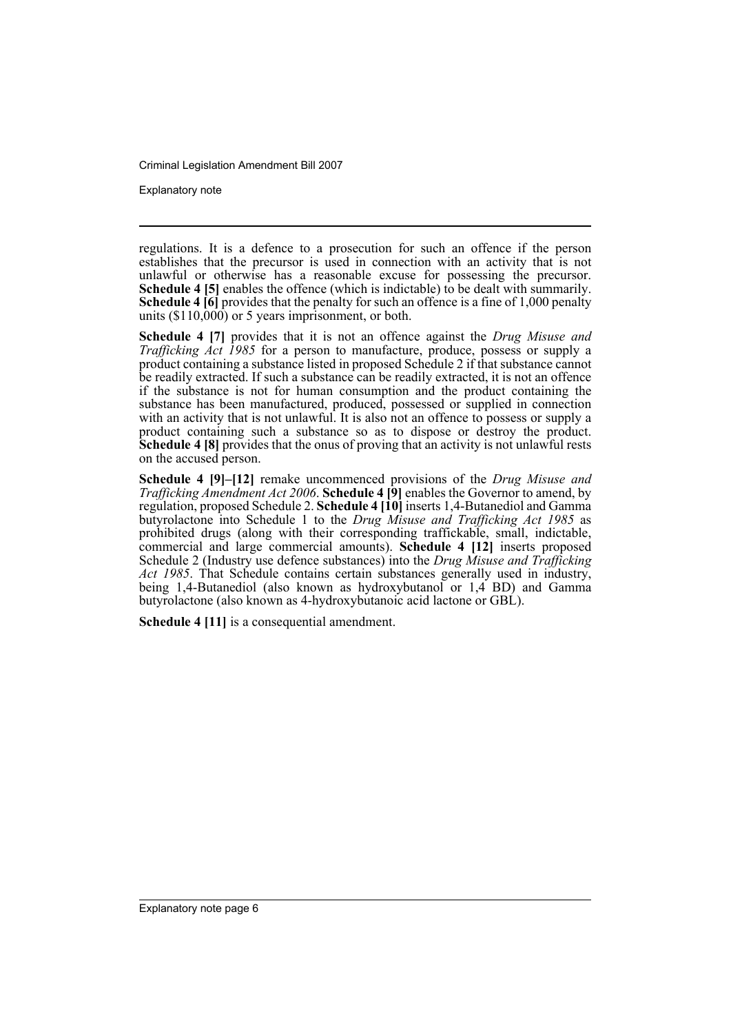Explanatory note

regulations. It is a defence to a prosecution for such an offence if the person establishes that the precursor is used in connection with an activity that is not unlawful or otherwise has a reasonable excuse for possessing the precursor. **Schedule 4 [5]** enables the offence (which is indictable) to be dealt with summarily. **Schedule 4 [6]** provides that the penalty for such an offence is a fine of 1,000 penalty units  $(\$110,000)$  or 5 years imprisonment, or both.

**Schedule 4 [7]** provides that it is not an offence against the *Drug Misuse and Trafficking Act 1985* for a person to manufacture, produce, possess or supply a product containing a substance listed in proposed Schedule 2 if that substance cannot be readily extracted. If such a substance can be readily extracted, it is not an offence if the substance is not for human consumption and the product containing the substance has been manufactured, produced, possessed or supplied in connection with an activity that is not unlawful. It is also not an offence to possess or supply a product containing such a substance so as to dispose or destroy the product. **Schedule 4 [8]** provides that the onus of proving that an activity is not unlawful rests on the accused person.

**Schedule 4 [9]–[12]** remake uncommenced provisions of the *Drug Misuse and Trafficking Amendment Act 2006*. **Schedule 4 [9]** enables the Governor to amend, by regulation, proposed Schedule 2. **Schedule 4 [10]** inserts 1,4-Butanediol and Gamma butyrolactone into Schedule 1 to the *Drug Misuse and Trafficking Act 1985* as prohibited drugs (along with their corresponding traffickable, small, indictable, commercial and large commercial amounts). **Schedule 4 [12]** inserts proposed Schedule 2 (Industry use defence substances) into the *Drug Misuse and Trafficking Act 1985*. That Schedule contains certain substances generally used in industry, being 1,4-Butanediol (also known as hydroxybutanol or 1,4 BD) and Gamma butyrolactone (also known as 4-hydroxybutanoic acid lactone or GBL).

**Schedule 4 [11]** is a consequential amendment.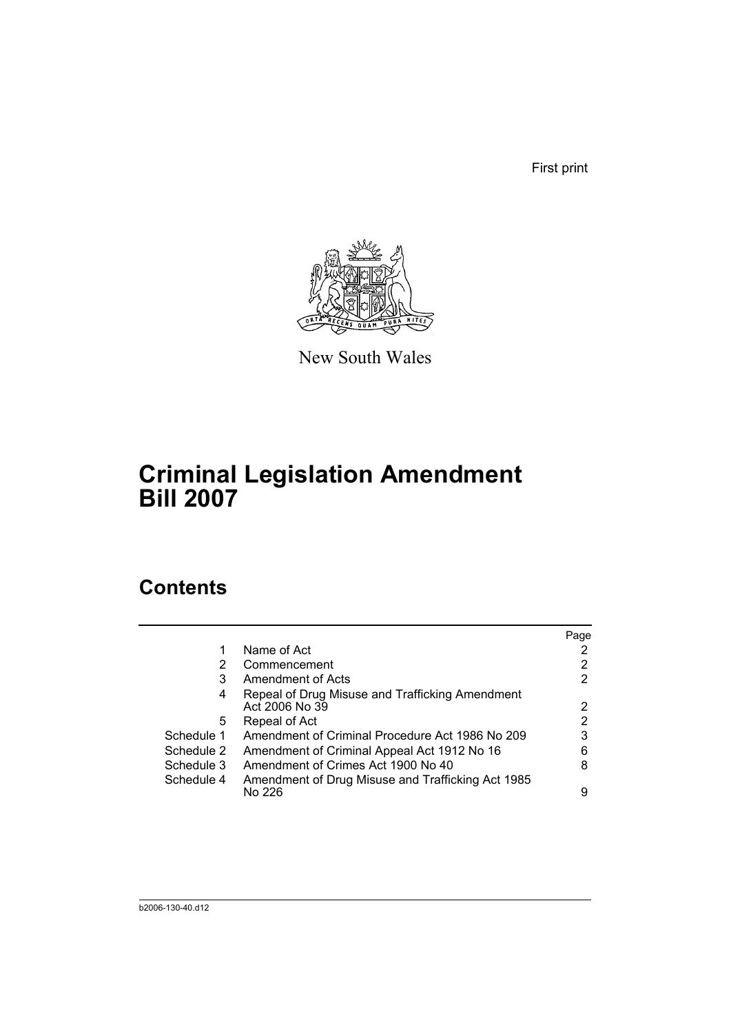First print



New South Wales

# **Criminal Legislation Amendment Bill 2007**

## **Contents**

|            |                                                                   | Page |
|------------|-------------------------------------------------------------------|------|
| 1          | Name of Act                                                       |      |
| 2          | Commencement                                                      | 2    |
| 3          | Amendment of Acts                                                 | 2    |
| 4          | Repeal of Drug Misuse and Trafficking Amendment<br>Act 2006 No 39 | 2    |
| 5.         | Repeal of Act                                                     | 2    |
| Schedule 1 | Amendment of Criminal Procedure Act 1986 No 209                   | 3    |
| Schedule 2 | Amendment of Criminal Appeal Act 1912 No 16                       | 6    |
| Schedule 3 | Amendment of Crimes Act 1900 No 40                                | 8    |
| Schedule 4 | Amendment of Drug Misuse and Trafficking Act 1985<br>No 226       | 9    |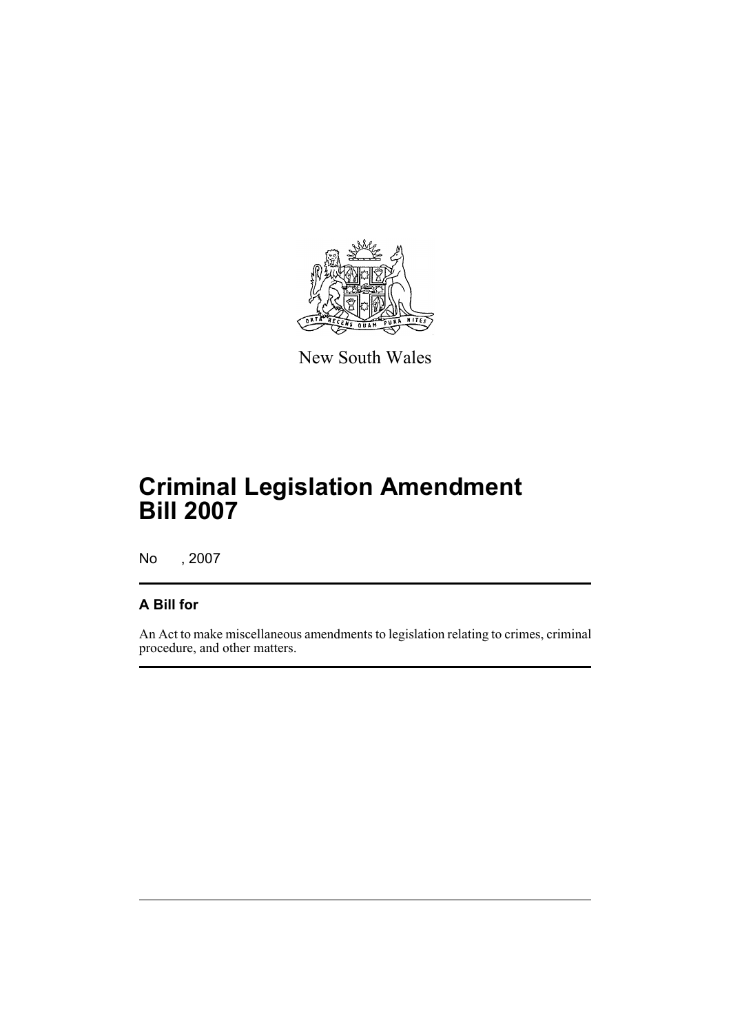

New South Wales

# **Criminal Legislation Amendment Bill 2007**

No , 2007

## **A Bill for**

An Act to make miscellaneous amendments to legislation relating to crimes, criminal procedure, and other matters.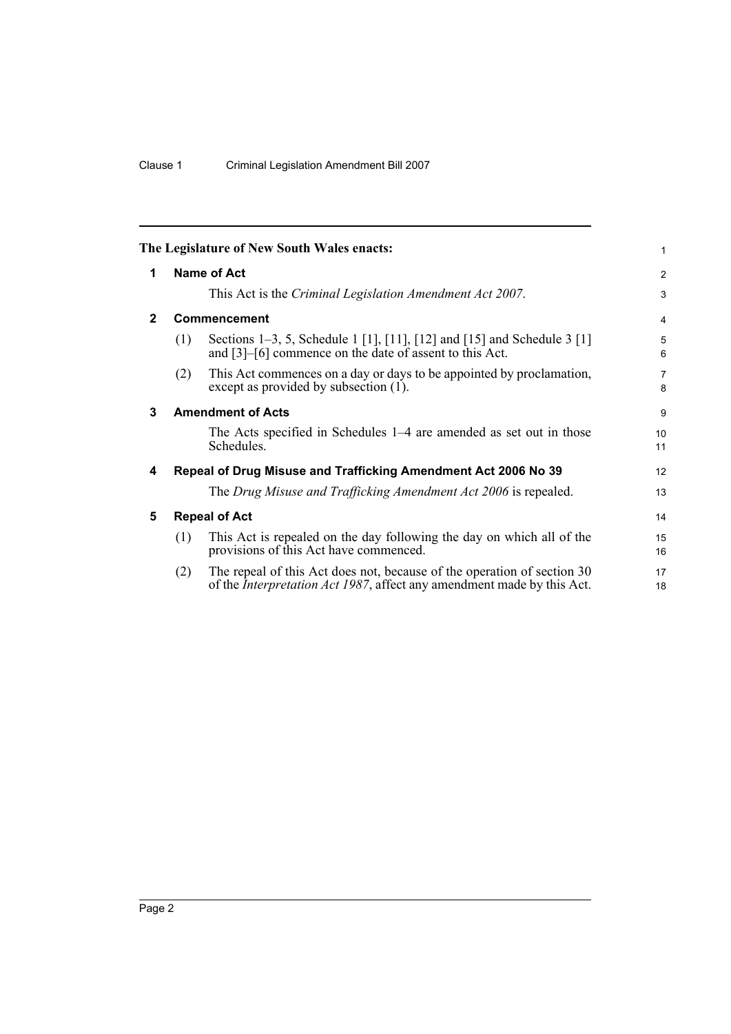<span id="page-9-4"></span><span id="page-9-3"></span><span id="page-9-2"></span><span id="page-9-1"></span><span id="page-9-0"></span>

|              |     | The Legislature of New South Wales enacts:                                                                                                                | 1                   |
|--------------|-----|-----------------------------------------------------------------------------------------------------------------------------------------------------------|---------------------|
| 1            |     | Name of Act                                                                                                                                               | 2                   |
|              |     | This Act is the <i>Criminal Legislation Amendment Act 2007</i> .                                                                                          | 3                   |
| $\mathbf{2}$ |     | <b>Commencement</b>                                                                                                                                       | 4                   |
|              | (1) | Sections 1–3, 5, Schedule 1 [1], [11], [12] and [15] and Schedule 3 [1]<br>and [3]–[6] commence on the date of assent to this Act.                        | 5<br>6              |
|              | (2) | This Act commences on a day or days to be appointed by proclamation,<br>except as provided by subsection (1).                                             | $\overline{7}$<br>8 |
| 3            |     | <b>Amendment of Acts</b>                                                                                                                                  | 9                   |
|              |     | The Acts specified in Schedules 1–4 are amended as set out in those<br>Schedules.                                                                         | 10<br>11            |
| 4            |     | Repeal of Drug Misuse and Trafficking Amendment Act 2006 No 39                                                                                            | 12                  |
|              |     | The Drug Misuse and Trafficking Amendment Act 2006 is repealed.                                                                                           | 13                  |
| 5            |     | <b>Repeal of Act</b>                                                                                                                                      | 14                  |
|              | (1) | This Act is repealed on the day following the day on which all of the<br>provisions of this Act have commenced.                                           | 15<br>16            |
|              | (2) | The repeal of this Act does not, because of the operation of section 30<br>of the <i>Interpretation Act 1987</i> , affect any amendment made by this Act. | 17<br>18            |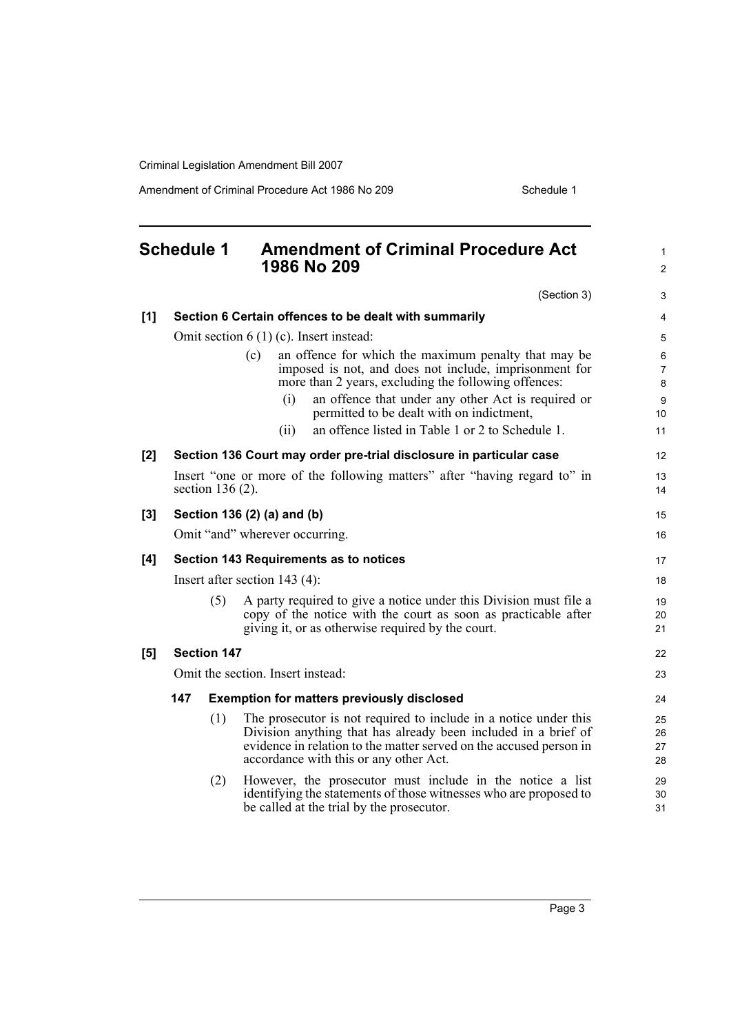Amendment of Criminal Procedure Act 1986 No 209 Schedule 1

<span id="page-10-0"></span>

|     | <b>Schedule 1</b>                      |                    | <b>Amendment of Criminal Procedure Act</b><br>1986 No 209                                                                                                                                                                                          | 1<br>$\overline{2}$      |  |
|-----|----------------------------------------|--------------------|----------------------------------------------------------------------------------------------------------------------------------------------------------------------------------------------------------------------------------------------------|--------------------------|--|
|     |                                        |                    | (Section 3)                                                                                                                                                                                                                                        | 3                        |  |
| [1] |                                        |                    | Section 6 Certain offences to be dealt with summarily                                                                                                                                                                                              | 4                        |  |
|     |                                        |                    | Omit section $6(1)(c)$ . Insert instead:                                                                                                                                                                                                           | 5                        |  |
|     |                                        |                    | an offence for which the maximum penalty that may be<br>(c)<br>imposed is not, and does not include, imprisonment for<br>more than 2 years, excluding the following offences:                                                                      | 6<br>$\overline{7}$<br>8 |  |
|     |                                        |                    | an offence that under any other Act is required or<br>(i)<br>permitted to be dealt with on indictment,                                                                                                                                             | 9<br>10                  |  |
|     |                                        |                    | an offence listed in Table 1 or 2 to Schedule 1.<br>(ii)                                                                                                                                                                                           | 11                       |  |
| [2] |                                        |                    | Section 136 Court may order pre-trial disclosure in particular case                                                                                                                                                                                | 12                       |  |
|     |                                        | section $136(2)$ . | Insert "one or more of the following matters" after "having regard to" in                                                                                                                                                                          | 13<br>14                 |  |
| [3] |                                        |                    | Section 136 (2) (a) and (b)                                                                                                                                                                                                                        | 15                       |  |
|     |                                        |                    | Omit "and" wherever occurring.                                                                                                                                                                                                                     | 16                       |  |
| [4] | Section 143 Requirements as to notices |                    |                                                                                                                                                                                                                                                    |                          |  |
|     | Insert after section $143(4)$ :        |                    |                                                                                                                                                                                                                                                    |                          |  |
|     |                                        | (5)                | A party required to give a notice under this Division must file a<br>copy of the notice with the court as soon as practicable after<br>giving it, or as otherwise required by the court.                                                           | 19<br>20<br>21           |  |
| [5] |                                        | <b>Section 147</b> |                                                                                                                                                                                                                                                    | 22                       |  |
|     |                                        |                    | Omit the section. Insert instead:                                                                                                                                                                                                                  | 23                       |  |
|     | 147                                    |                    | <b>Exemption for matters previously disclosed</b>                                                                                                                                                                                                  | 24                       |  |
|     |                                        | (1)                | The prosecutor is not required to include in a notice under this<br>Division anything that has already been included in a brief of<br>evidence in relation to the matter served on the accused person in<br>accordance with this or any other Act. | 25<br>26<br>27<br>28     |  |
|     |                                        | (2)                | However, the prosecutor must include in the notice a list<br>identifying the statements of those witnesses who are proposed to<br>be called at the trial by the prosecutor.                                                                        | 29<br>30<br>31           |  |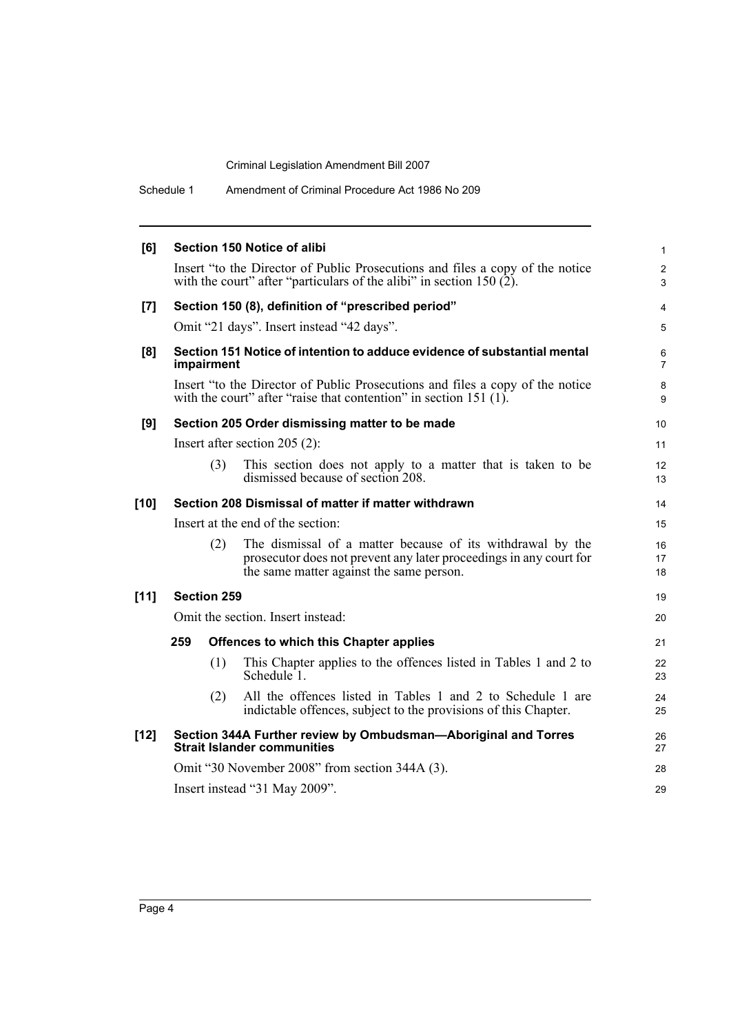Schedule 1 Amendment of Criminal Procedure Act 1986 No 209

| [6]    |                    | Section 150 Notice of alibi                                                                                                                                                  | $\mathbf{1}$        |
|--------|--------------------|------------------------------------------------------------------------------------------------------------------------------------------------------------------------------|---------------------|
|        |                    | Insert "to the Director of Public Prosecutions and files a copy of the notice<br>with the court" after "particulars of the alibi" in section 150 $(2)$ .                     | 2<br>3              |
| [7]    |                    | Section 150 (8), definition of "prescribed period"                                                                                                                           | 4                   |
|        |                    | Omit "21 days". Insert instead "42 days".                                                                                                                                    | 5                   |
| [8]    | impairment         | Section 151 Notice of intention to adduce evidence of substantial mental                                                                                                     | 6<br>$\overline{7}$ |
|        |                    | Insert "to the Director of Public Prosecutions and files a copy of the notice<br>with the court" after "raise that contention" in section 151 $(1)$ .                        | $\bf 8$<br>9        |
| [9]    |                    | Section 205 Order dismissing matter to be made                                                                                                                               | 10                  |
|        |                    | Insert after section $205(2)$ :                                                                                                                                              | 11                  |
|        | (3)                | This section does not apply to a matter that is taken to be<br>dismissed because of section 208.                                                                             | 12<br>13            |
| $[10]$ |                    | Section 208 Dismissal of matter if matter withdrawn                                                                                                                          | 14                  |
|        |                    | Insert at the end of the section:                                                                                                                                            | 15                  |
|        | (2)                | The dismissal of a matter because of its withdrawal by the<br>prosecutor does not prevent any later proceedings in any court for<br>the same matter against the same person. | 16<br>17<br>18      |
| $[11]$ | <b>Section 259</b> |                                                                                                                                                                              | 19                  |
|        |                    | Omit the section. Insert instead:                                                                                                                                            | 20                  |
|        | 259                | <b>Offences to which this Chapter applies</b>                                                                                                                                | 21                  |
|        | (1)                | This Chapter applies to the offences listed in Tables 1 and 2 to<br>Schedule <sup>1</sup> .                                                                                  | 22<br>23            |
|        | (2)                | All the offences listed in Tables 1 and 2 to Schedule 1 are<br>indictable offences, subject to the provisions of this Chapter.                                               | 24<br>25            |
| $[12]$ |                    | Section 344A Further review by Ombudsman-Aboriginal and Torres<br><b>Strait Islander communities</b>                                                                         | 26<br>27            |
|        |                    | Omit "30 November 2008" from section 344A (3).                                                                                                                               | 28                  |
|        |                    | Insert instead "31 May 2009".                                                                                                                                                | 29                  |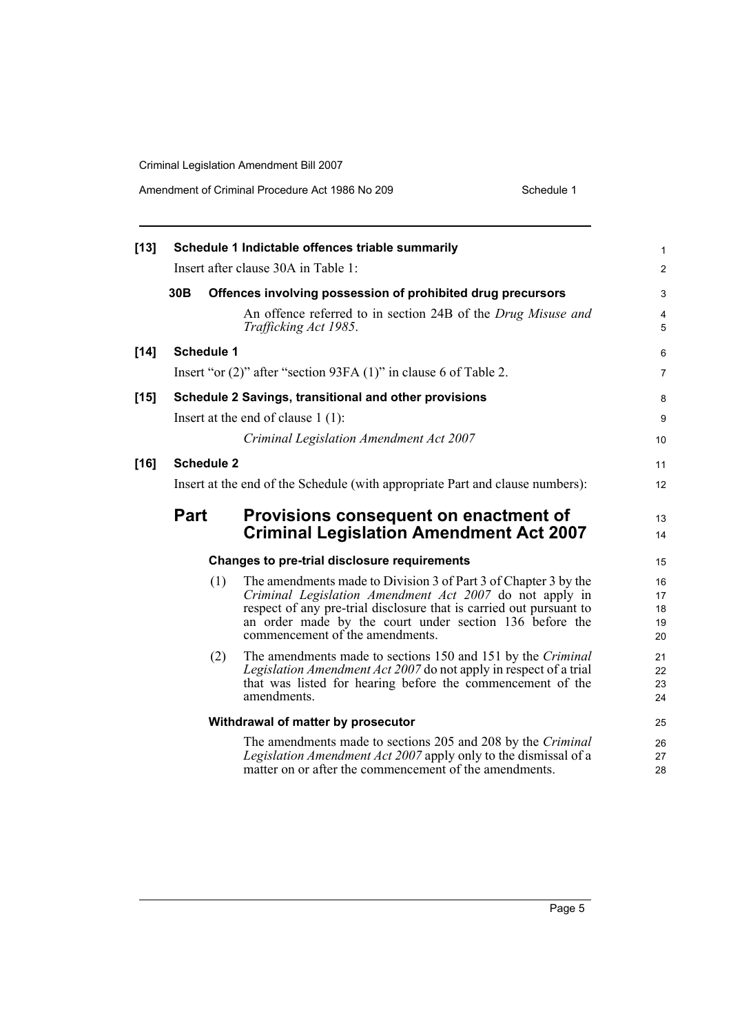Amendment of Criminal Procedure Act 1986 No 209

| Schedule 1 |  |
|------------|--|
|            |  |

| $[13]$ |                   | Schedule 1 Indictable offences triable summarily                                                                                                                                                                                                                                                | 1                          |
|--------|-------------------|-------------------------------------------------------------------------------------------------------------------------------------------------------------------------------------------------------------------------------------------------------------------------------------------------|----------------------------|
|        |                   | Insert after clause 30A in Table 1:                                                                                                                                                                                                                                                             | $\overline{c}$             |
|        | 30 <sub>B</sub>   | Offences involving possession of prohibited drug precursors                                                                                                                                                                                                                                     | 3                          |
|        |                   | An offence referred to in section 24B of the Drug Misuse and<br>Trafficking Act 1985.                                                                                                                                                                                                           | 4<br>5                     |
| $[14]$ | <b>Schedule 1</b> |                                                                                                                                                                                                                                                                                                 | 6                          |
|        |                   | Insert "or (2)" after "section 93FA (1)" in clause 6 of Table 2.                                                                                                                                                                                                                                | 7                          |
| $[15]$ |                   | Schedule 2 Savings, transitional and other provisions                                                                                                                                                                                                                                           | 8                          |
|        |                   | Insert at the end of clause $1(1)$ :                                                                                                                                                                                                                                                            | 9                          |
|        |                   | Criminal Legislation Amendment Act 2007                                                                                                                                                                                                                                                         | 10                         |
| $[16]$ | <b>Schedule 2</b> |                                                                                                                                                                                                                                                                                                 | 11                         |
|        |                   | Insert at the end of the Schedule (with appropriate Part and clause numbers):                                                                                                                                                                                                                   | 12                         |
|        | <b>Part</b>       | Provisions consequent on enactment of<br><b>Criminal Legislation Amendment Act 2007</b>                                                                                                                                                                                                         | 13<br>14                   |
|        |                   | <b>Changes to pre-trial disclosure requirements</b>                                                                                                                                                                                                                                             | 15                         |
|        | (1)               | The amendments made to Division 3 of Part 3 of Chapter 3 by the<br>Criminal Legislation Amendment Act 2007 do not apply in<br>respect of any pre-trial disclosure that is carried out pursuant to<br>an order made by the court under section 136 before the<br>commencement of the amendments. | 16<br>17<br>18<br>19<br>20 |
|        | (2)               | The amendments made to sections 150 and 151 by the Criminal<br>Legislation Amendment Act 2007 do not apply in respect of a trial<br>that was listed for hearing before the commencement of the<br>amendments.                                                                                   | 21<br>22<br>23<br>24       |
|        |                   | Withdrawal of matter by prosecutor                                                                                                                                                                                                                                                              | 25                         |
|        |                   | The amendments made to sections 205 and 208 by the Criminal<br>Legislation Amendment Act 2007 apply only to the dismissal of a<br>matter on or after the commencement of the amendments.                                                                                                        | 26<br>27<br>28             |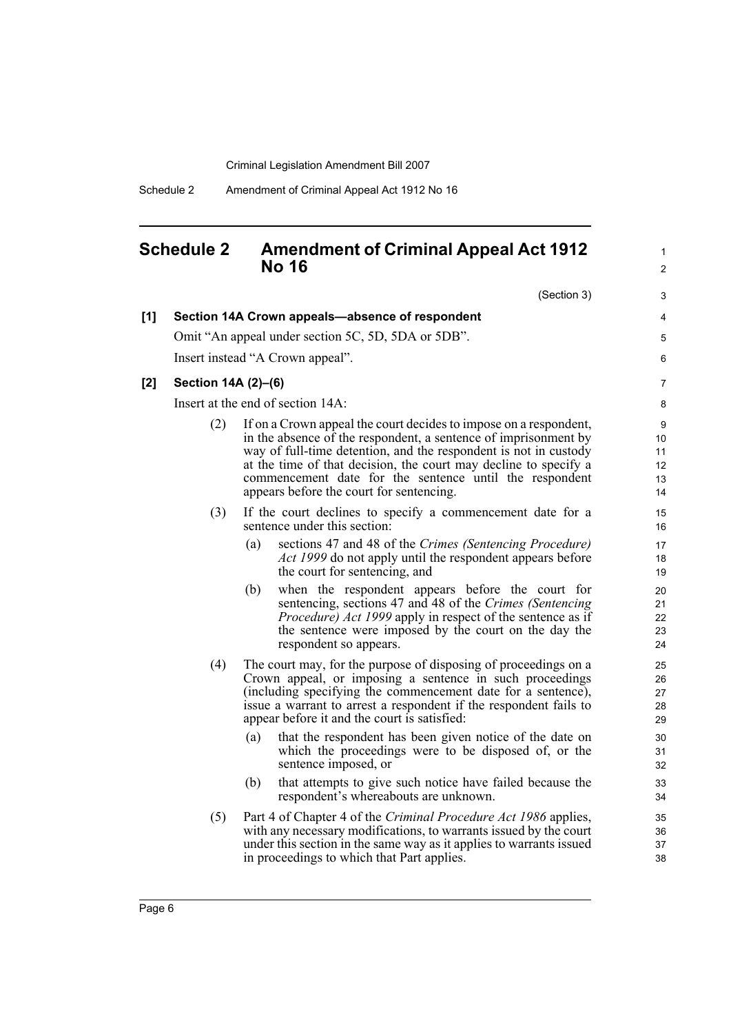### <span id="page-13-0"></span>**Schedule 2 Amendment of Criminal Appeal Act 1912 No 16**

(Section 3)

1 2

3

| [1] |                                   | Section 14A Crown appeals-absence of respondent                                                                                                                                                                                                                                                                                                                                     | 4                               |  |  |  |
|-----|-----------------------------------|-------------------------------------------------------------------------------------------------------------------------------------------------------------------------------------------------------------------------------------------------------------------------------------------------------------------------------------------------------------------------------------|---------------------------------|--|--|--|
|     |                                   | Omit "An appeal under section 5C, 5D, 5DA or 5DB".                                                                                                                                                                                                                                                                                                                                  | 5                               |  |  |  |
|     |                                   | Insert instead "A Crown appeal".                                                                                                                                                                                                                                                                                                                                                    | 6                               |  |  |  |
| [2] | Section 14A (2)-(6)               |                                                                                                                                                                                                                                                                                                                                                                                     | 7                               |  |  |  |
|     | Insert at the end of section 14A: |                                                                                                                                                                                                                                                                                                                                                                                     |                                 |  |  |  |
|     | (2)                               | If on a Crown appeal the court decides to impose on a respondent,<br>in the absence of the respondent, a sentence of imprisonment by<br>way of full-time detention, and the respondent is not in custody<br>at the time of that decision, the court may decline to specify a<br>commencement date for the sentence until the respondent<br>appears before the court for sentencing. | 9<br>10<br>11<br>12<br>13<br>14 |  |  |  |
|     | (3)                               | If the court declines to specify a commencement date for a<br>sentence under this section:                                                                                                                                                                                                                                                                                          | 15<br>16                        |  |  |  |
|     |                                   | (a)<br>sections 47 and 48 of the Crimes (Sentencing Procedure)<br><i>Act 1999</i> do not apply until the respondent appears before<br>the court for sentencing, and                                                                                                                                                                                                                 | 17<br>18<br>19                  |  |  |  |
|     |                                   | (b)<br>when the respondent appears before the court for<br>sentencing, sections 47 and 48 of the Crimes (Sentencing<br><i>Procedure) Act 1999</i> apply in respect of the sentence as if<br>the sentence were imposed by the court on the day the<br>respondent so appears.                                                                                                         | 20<br>21<br>22<br>23<br>24      |  |  |  |
|     | (4)                               | The court may, for the purpose of disposing of proceedings on a<br>Crown appeal, or imposing a sentence in such proceedings<br>(including specifying the commencement date for a sentence),<br>issue a warrant to arrest a respondent if the respondent fails to<br>appear before it and the court is satisfied:                                                                    | 25<br>26<br>27<br>28<br>29      |  |  |  |
|     |                                   | that the respondent has been given notice of the date on<br>(a)<br>which the proceedings were to be disposed of, or the<br>sentence imposed, or                                                                                                                                                                                                                                     | 30<br>31<br>32                  |  |  |  |
|     |                                   | that attempts to give such notice have failed because the<br>(b)<br>respondent's whereabouts are unknown.                                                                                                                                                                                                                                                                           | 33<br>34                        |  |  |  |
|     | (5)                               | Part 4 of Chapter 4 of the Criminal Procedure Act 1986 applies,<br>with any necessary modifications, to warrants issued by the court<br>under this section in the same way as it applies to warrants issued<br>in proceedings to which that Part applies.                                                                                                                           | 35<br>36<br>37<br>38            |  |  |  |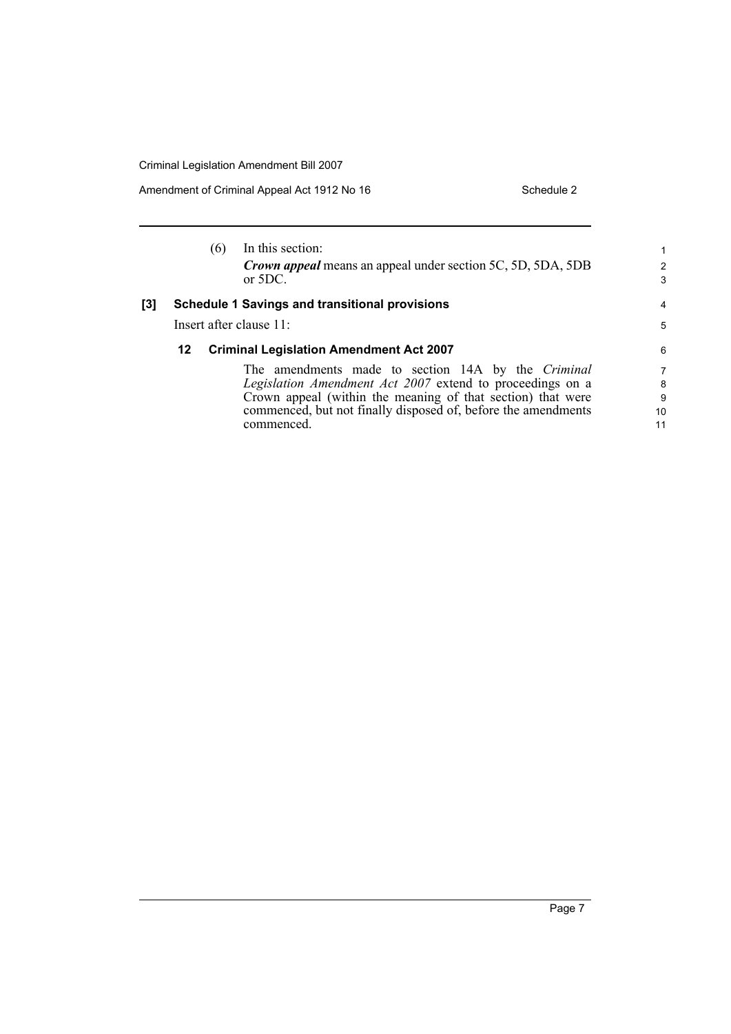Amendment of Criminal Appeal Act 1912 No 16 Schedule 2 Schedule 2

|     |                         | (6) | In this section:<br>Crown appeal means an appeal under section 5C, 5D, 5DA, 5DB<br>or $5DC$ . | 1<br>2<br>3 |
|-----|-------------------------|-----|-----------------------------------------------------------------------------------------------|-------------|
| [3] |                         |     | <b>Schedule 1 Savings and transitional provisions</b>                                         | 4           |
|     | Insert after clause 11: |     |                                                                                               | 5           |
|     | 12                      |     | <b>Criminal Legislation Amendment Act 2007</b>                                                | 6           |
|     |                         |     | The amendments made to section 14A by the <i>Criminal</i>                                     | 7           |
|     |                         |     | Legislation Amendment Act 2007 extend to proceedings on a                                     | 8           |
|     |                         |     | Crown appeal (within the meaning of that section) that were                                   | 9           |
|     |                         |     | commenced, but not finally disposed of, before the amendments                                 | 10          |
|     |                         |     | commenced.                                                                                    | 11          |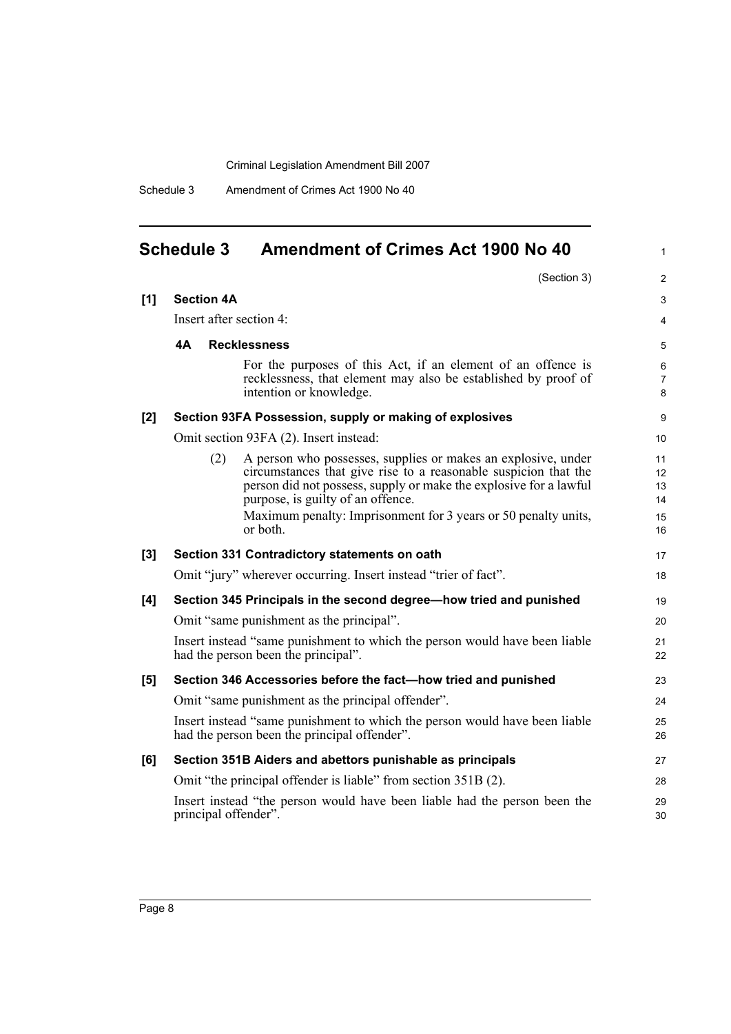Schedule 3 Amendment of Crimes Act 1900 No 40

<span id="page-15-0"></span>

| <b>Schedule 3</b> |                         | <b>Amendment of Crimes Act 1900 No 40</b>                                                                                                                                                                                                                                                                                |
|-------------------|-------------------------|--------------------------------------------------------------------------------------------------------------------------------------------------------------------------------------------------------------------------------------------------------------------------------------------------------------------------|
|                   |                         | (Section 3)                                                                                                                                                                                                                                                                                                              |
| [1]               | <b>Section 4A</b>       |                                                                                                                                                                                                                                                                                                                          |
|                   | Insert after section 4: |                                                                                                                                                                                                                                                                                                                          |
|                   | 4A                      | <b>Recklessness</b>                                                                                                                                                                                                                                                                                                      |
|                   |                         | For the purposes of this Act, if an element of an offence is<br>recklessness, that element may also be established by proof of<br>intention or knowledge.                                                                                                                                                                |
| [2]               |                         | Section 93FA Possession, supply or making of explosives                                                                                                                                                                                                                                                                  |
|                   |                         | Omit section 93FA (2). Insert instead:                                                                                                                                                                                                                                                                                   |
|                   | (2)                     | A person who possesses, supplies or makes an explosive, under<br>circumstances that give rise to a reasonable suspicion that the<br>person did not possess, supply or make the explosive for a lawful<br>purpose, is guilty of an offence.<br>Maximum penalty: Imprisonment for 3 years or 50 penalty units,<br>or both. |
|                   |                         |                                                                                                                                                                                                                                                                                                                          |
| [3]               |                         | Section 331 Contradictory statements on oath<br>Omit "jury" wherever occurring. Insert instead "trier of fact".                                                                                                                                                                                                          |
|                   |                         |                                                                                                                                                                                                                                                                                                                          |
| [4]               |                         | Section 345 Principals in the second degree-how tried and punished<br>Omit "same punishment as the principal".                                                                                                                                                                                                           |
|                   |                         | Insert instead "same punishment to which the person would have been liable                                                                                                                                                                                                                                               |
|                   |                         | had the person been the principal".                                                                                                                                                                                                                                                                                      |
| [5]               |                         | Section 346 Accessories before the fact-how tried and punished                                                                                                                                                                                                                                                           |
|                   |                         | Omit "same punishment as the principal offender".                                                                                                                                                                                                                                                                        |
|                   |                         | Insert instead "same punishment to which the person would have been liable<br>had the person been the principal offender".                                                                                                                                                                                               |
| [6]               |                         | Section 351B Aiders and abettors punishable as principals                                                                                                                                                                                                                                                                |
|                   |                         | Omit "the principal offender is liable" from section 351B (2).                                                                                                                                                                                                                                                           |

1

17 18

Insert instead "the person would have been liable had the person been the principal offender".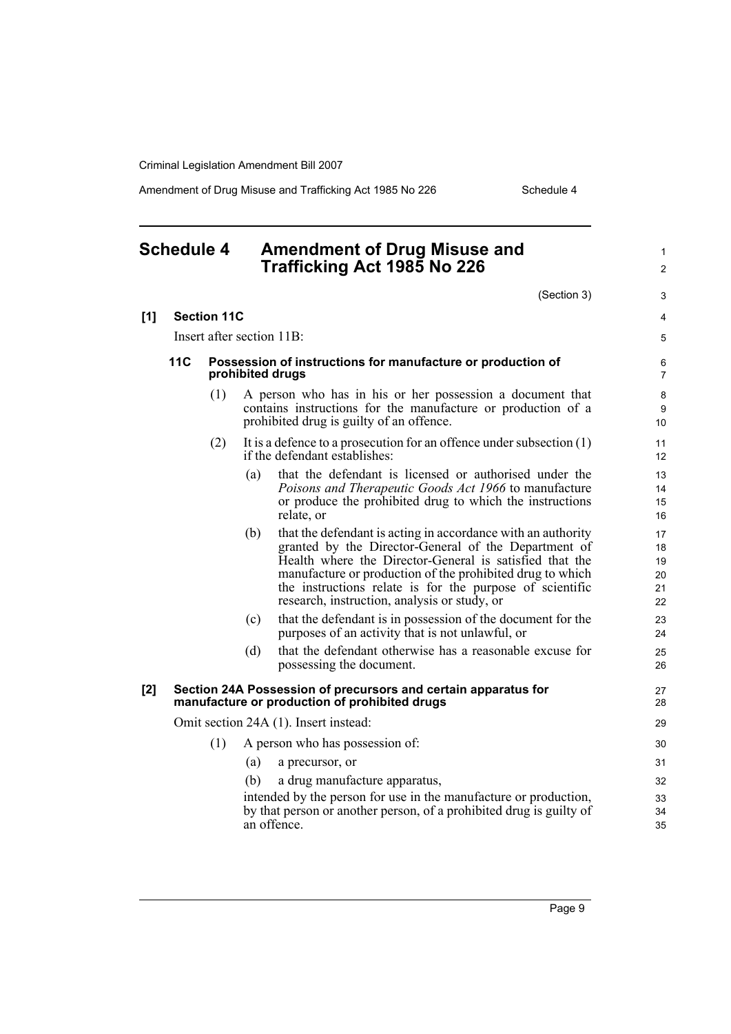Amendment of Drug Misuse and Trafficking Act 1985 No 226 Schedule 4

## <span id="page-16-0"></span>**Schedule 4 Amendment of Drug Misuse and Trafficking Act 1985 No 226**

(Section 3)

1 2

|     |                           |                    |                                                                                 | (Section 3)                                                                                                                                                                                                                                                                                                                                              | 3                                |
|-----|---------------------------|--------------------|---------------------------------------------------------------------------------|----------------------------------------------------------------------------------------------------------------------------------------------------------------------------------------------------------------------------------------------------------------------------------------------------------------------------------------------------------|----------------------------------|
| [1] |                           | <b>Section 11C</b> |                                                                                 |                                                                                                                                                                                                                                                                                                                                                          | 4                                |
|     | Insert after section 11B: |                    |                                                                                 |                                                                                                                                                                                                                                                                                                                                                          |                                  |
|     | 11C                       |                    | Possession of instructions for manufacture or production of<br>prohibited drugs |                                                                                                                                                                                                                                                                                                                                                          |                                  |
|     |                           | (1)                |                                                                                 | A person who has in his or her possession a document that<br>contains instructions for the manufacture or production of a<br>prohibited drug is guilty of an offence.                                                                                                                                                                                    | 8<br>9<br>10 <sup>1</sup>        |
|     |                           | (2)                |                                                                                 | It is a defence to a prosecution for an offence under subsection $(1)$<br>if the defendant establishes:                                                                                                                                                                                                                                                  | 11<br>12 <sup>°</sup>            |
|     |                           |                    | (a)                                                                             | that the defendant is licensed or authorised under the<br>Poisons and Therapeutic Goods Act 1966 to manufacture<br>or produce the prohibited drug to which the instructions<br>relate, or                                                                                                                                                                | 13<br>14<br>15<br>16             |
|     |                           |                    | (b)                                                                             | that the defendant is acting in accordance with an authority<br>granted by the Director-General of the Department of<br>Health where the Director-General is satisfied that the<br>manufacture or production of the prohibited drug to which<br>the instructions relate is for the purpose of scientific<br>research, instruction, analysis or study, or | 17<br>18<br>19<br>20<br>21<br>22 |
|     |                           |                    | (c)                                                                             | that the defendant is in possession of the document for the<br>purposes of an activity that is not unlawful, or                                                                                                                                                                                                                                          | 23<br>24                         |
|     |                           |                    | (d)                                                                             | that the defendant otherwise has a reasonable excuse for<br>possessing the document.                                                                                                                                                                                                                                                                     | 25<br>26                         |
| [2] |                           |                    |                                                                                 | Section 24A Possession of precursors and certain apparatus for<br>manufacture or production of prohibited drugs                                                                                                                                                                                                                                          | 27<br>28                         |
|     |                           |                    |                                                                                 | Omit section 24A (1). Insert instead:                                                                                                                                                                                                                                                                                                                    | 29                               |
|     |                           | (1)                |                                                                                 | A person who has possession of:                                                                                                                                                                                                                                                                                                                          | 30                               |
|     |                           |                    | (a)                                                                             | a precursor, or                                                                                                                                                                                                                                                                                                                                          | 31                               |
|     |                           |                    | (b)                                                                             | a drug manufacture apparatus,                                                                                                                                                                                                                                                                                                                            | 32                               |
|     |                           |                    |                                                                                 | intended by the person for use in the manufacture or production,<br>by that person or another person, of a prohibited drug is guilty of<br>an offence.                                                                                                                                                                                                   | 33<br>34<br>35                   |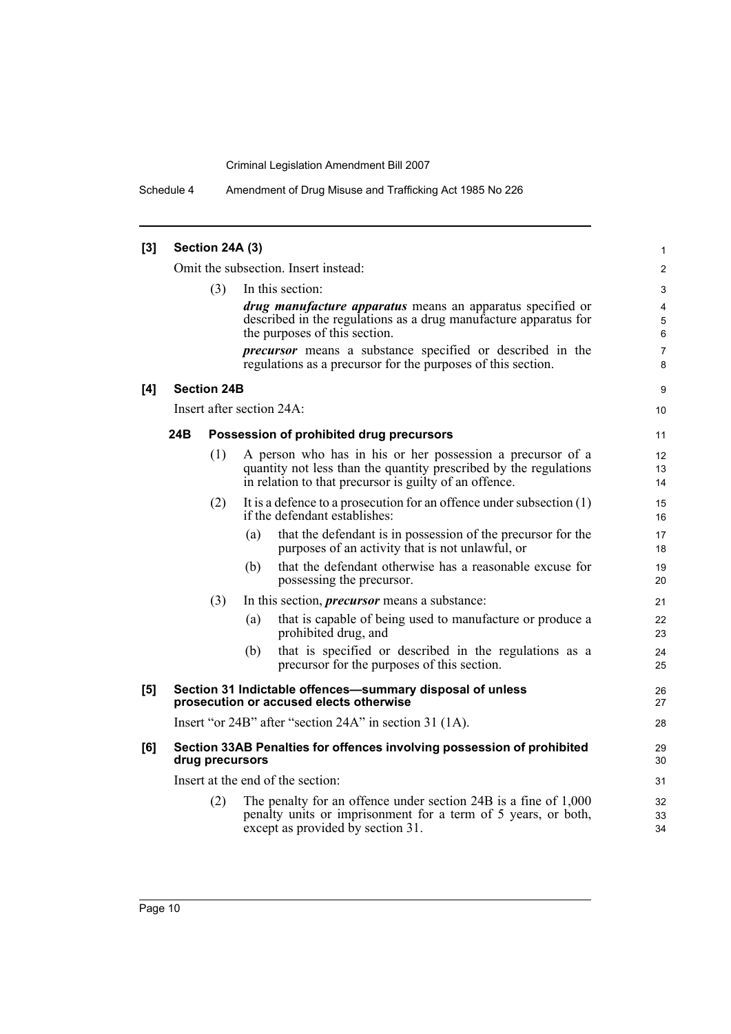Schedule 4 Amendment of Drug Misuse and Trafficking Act 1985 No 226

| $[3]$ | Section 24A (3)         |                    |                                                                                           |                |  |  |  |
|-------|-------------------------|--------------------|-------------------------------------------------------------------------------------------|----------------|--|--|--|
|       |                         |                    | Omit the subsection. Insert instead:                                                      | 2              |  |  |  |
|       | In this section:<br>(3) |                    |                                                                                           |                |  |  |  |
|       |                         |                    | <i>drug manufacture apparatus</i> means an apparatus specified or                         | 4              |  |  |  |
|       |                         |                    | described in the regulations as a drug manufacture apparatus for                          | 5              |  |  |  |
|       |                         |                    | the purposes of this section.                                                             | 6              |  |  |  |
|       |                         |                    | <i>precursor</i> means a substance specified or described in the                          | $\overline{7}$ |  |  |  |
|       |                         |                    | regulations as a precursor for the purposes of this section.                              | 8              |  |  |  |
| [4]   |                         | <b>Section 24B</b> |                                                                                           | 9              |  |  |  |
|       |                         |                    | Insert after section 24A:                                                                 | 10             |  |  |  |
|       | 24B                     |                    | Possession of prohibited drug precursors                                                  | 11             |  |  |  |
|       |                         |                    |                                                                                           |                |  |  |  |
|       |                         | (1)                | A person who has in his or her possession a precursor of a                                | 12             |  |  |  |
|       |                         |                    | quantity not less than the quantity prescribed by the regulations                         | 13             |  |  |  |
|       |                         |                    | in relation to that precursor is guilty of an offence.                                    | 14             |  |  |  |
|       |                         | (2)                | It is a defence to a prosecution for an offence under subsection $(1)$                    | 15             |  |  |  |
|       |                         |                    | if the defendant establishes:                                                             | 16             |  |  |  |
|       |                         |                    | that the defendant is in possession of the precursor for the<br>(a)                       | 17             |  |  |  |
|       |                         |                    | purposes of an activity that is not unlawful, or                                          | 18             |  |  |  |
|       |                         |                    | that the defendant otherwise has a reasonable excuse for<br>(b)                           | 19             |  |  |  |
|       |                         |                    | possessing the precursor.                                                                 | 20             |  |  |  |
|       |                         | (3)                | In this section, <i>precursor</i> means a substance:                                      | 21             |  |  |  |
|       |                         |                    | that is capable of being used to manufacture or produce a<br>(a)                          | 22             |  |  |  |
|       |                         |                    | prohibited drug, and                                                                      | 23             |  |  |  |
|       |                         |                    | that is specified or described in the regulations as a<br>(b)                             | 24             |  |  |  |
|       |                         |                    | precursor for the purposes of this section.                                               | 25             |  |  |  |
| [5]   |                         |                    | Section 31 Indictable offences-summary disposal of unless                                 | 26             |  |  |  |
|       |                         |                    | prosecution or accused elects otherwise                                                   | 27             |  |  |  |
|       |                         |                    | Insert "or 24B" after "section 24A" in section 31 (1A).                                   | 28             |  |  |  |
| [6]   |                         |                    | Section 33AB Penalties for offences involving possession of prohibited<br>drug precursors | 29<br>30       |  |  |  |
|       |                         |                    | Insert at the end of the section:                                                         | 31             |  |  |  |
|       |                         | (2)                | The penalty for an offence under section 24B is a fine of 1,000                           | 32             |  |  |  |
|       |                         |                    | penalty units or imprisonment for a term of 5 years, or both,                             | 33             |  |  |  |
|       |                         |                    | except as provided by section 31.                                                         | 34             |  |  |  |
|       |                         |                    |                                                                                           |                |  |  |  |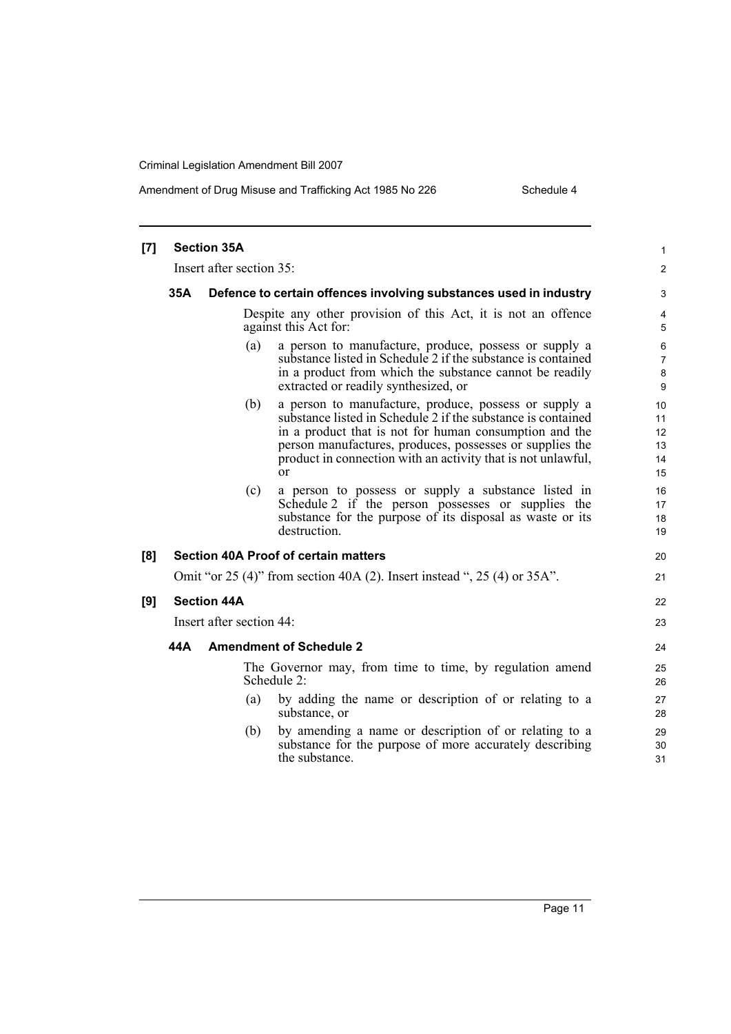### Amendment of Drug Misuse and Trafficking Act 1985 No 226 Schedule 4

| [7] |     | <b>Section 35A</b>       |                                                                                                                                                                                                                                                                                                                         | 1                                |
|-----|-----|--------------------------|-------------------------------------------------------------------------------------------------------------------------------------------------------------------------------------------------------------------------------------------------------------------------------------------------------------------------|----------------------------------|
|     |     | Insert after section 35: |                                                                                                                                                                                                                                                                                                                         | 2                                |
|     | 35A |                          | Defence to certain offences involving substances used in industry                                                                                                                                                                                                                                                       | 3                                |
|     |     |                          | Despite any other provision of this Act, it is not an offence<br>against this Act for:                                                                                                                                                                                                                                  | 4<br>5                           |
|     |     | (a)                      | a person to manufacture, produce, possess or supply a<br>substance listed in Schedule 2 if the substance is contained<br>in a product from which the substance cannot be readily<br>extracted or readily synthesized, or                                                                                                | 6<br>7<br>8<br>9                 |
|     |     | (b)                      | a person to manufacture, produce, possess or supply a<br>substance listed in Schedule 2 if the substance is contained<br>in a product that is not for human consumption and the<br>person manufactures, produces, possesses or supplies the<br>product in connection with an activity that is not unlawful,<br>$\alpha$ | 10<br>11<br>12<br>13<br>14<br>15 |
|     |     | (c)                      | a person to possess or supply a substance listed in<br>Schedule 2 if the person possesses or supplies the<br>substance for the purpose of its disposal as waste or its<br>destruction.                                                                                                                                  | 16<br>17<br>18<br>19             |
| [8] |     |                          | <b>Section 40A Proof of certain matters</b>                                                                                                                                                                                                                                                                             | 20                               |
|     |     |                          | Omit "or 25 (4)" from section 40A (2). Insert instead ", 25 (4) or 35A".                                                                                                                                                                                                                                                | 21                               |
| [9] |     | <b>Section 44A</b>       |                                                                                                                                                                                                                                                                                                                         | 22                               |
|     |     | Insert after section 44: |                                                                                                                                                                                                                                                                                                                         | 23                               |
|     | 44A |                          | <b>Amendment of Schedule 2</b>                                                                                                                                                                                                                                                                                          | 24                               |
|     |     |                          | The Governor may, from time to time, by regulation amend<br>Schedule 2:                                                                                                                                                                                                                                                 | 25<br>26                         |
|     |     | (a)                      | by adding the name or description of or relating to a<br>substance, or                                                                                                                                                                                                                                                  | 27<br>28                         |
|     |     | (b)                      | by amending a name or description of or relating to a<br>substance for the purpose of more accurately describing<br>the substance.                                                                                                                                                                                      | 29<br>30<br>31                   |
|     |     |                          |                                                                                                                                                                                                                                                                                                                         |                                  |